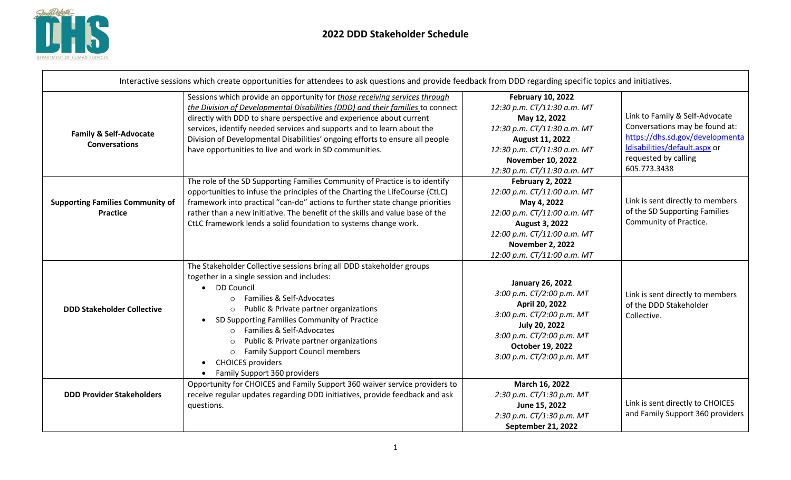

| Interactive sessions which create opportunities for attendees to ask questions and provide feedback from DDD regarding specific topics and initiatives. |                                                                                                                                                                                                                                                                                                                                                                                                                                                                                          |                                                                                                                                                                                                                     |                                                                                                                                                                              |  |
|---------------------------------------------------------------------------------------------------------------------------------------------------------|------------------------------------------------------------------------------------------------------------------------------------------------------------------------------------------------------------------------------------------------------------------------------------------------------------------------------------------------------------------------------------------------------------------------------------------------------------------------------------------|---------------------------------------------------------------------------------------------------------------------------------------------------------------------------------------------------------------------|------------------------------------------------------------------------------------------------------------------------------------------------------------------------------|--|
| <b>Family &amp; Self-Advocate</b><br><b>Conversations</b>                                                                                               | Sessions which provide an opportunity for those receiving services through<br>the Division of Developmental Disabilities (DDD) and their families to connect<br>directly with DDD to share perspective and experience about current<br>services, identify needed services and supports and to learn about the<br>Division of Developmental Disabilities' ongoing efforts to ensure all people<br>have opportunities to live and work in SD communities.                                  | <b>February 10, 2022</b><br>12:30 p.m. CT/11:30 a.m. MT<br>May 12, 2022<br>12:30 p.m. CT/11:30 a.m. MT<br>August 11, 2022<br>12:30 p.m. CT/11:30 a.m. MT<br><b>November 10, 2022</b><br>12:30 p.m. CT/11:30 a.m. MT | Link to Family & Self-Advocate<br>Conversations may be found at:<br>https://dhs.sd.gov/developmenta<br>Idisabilities/default.aspx or<br>requested by calling<br>605.773.3438 |  |
| <b>Supporting Families Community of</b><br><b>Practice</b>                                                                                              | The role of the SD Supporting Families Community of Practice is to identify<br>opportunities to infuse the principles of the Charting the LifeCourse (CtLC)<br>framework into practical "can-do" actions to further state change priorities<br>rather than a new initiative. The benefit of the skills and value base of the<br>CtLC framework lends a solid foundation to systems change work.                                                                                          | February 2, 2022<br>12:00 p.m. CT/11:00 a.m. MT<br>May 4, 2022<br>12:00 p.m. CT/11:00 a.m. MT<br><b>August 3, 2022</b><br>12:00 p.m. CT/11:00 a.m. MT<br><b>November 2, 2022</b><br>12:00 p.m. CT/11:00 a.m. MT     | Link is sent directly to members<br>of the SD Supporting Families<br>Community of Practice.                                                                                  |  |
| <b>DDD Stakeholder Collective</b>                                                                                                                       | The Stakeholder Collective sessions bring all DDD stakeholder groups<br>together in a single session and includes:<br><b>DD Council</b><br>$\bullet$<br>Families & Self-Advocates<br>$\circ$<br>Public & Private partner organizations<br>SD Supporting Families Community of Practice<br>Families & Self-Advocates<br>$\circ$<br>Public & Private partner organizations<br><b>Family Support Council members</b><br>$\circ$<br><b>CHOICES</b> providers<br>Family Support 360 providers | <b>January 26, 2022</b><br>3:00 p.m. CT/2:00 p.m. MT<br>April 20, 2022<br>3:00 p.m. CT/2:00 p.m. MT<br>July 20, 2022<br>3:00 p.m. CT/2:00 p.m. MT<br>October 19, 2022<br>3:00 p.m. CT/2:00 p.m. MT                  | Link is sent directly to members<br>of the DDD Stakeholder<br>Collective.                                                                                                    |  |
| <b>DDD Provider Stakeholders</b>                                                                                                                        | Opportunity for CHOICES and Family Support 360 waiver service providers to<br>receive regular updates regarding DDD initiatives, provide feedback and ask<br>questions.                                                                                                                                                                                                                                                                                                                  | March 16, 2022<br>2:30 p.m. CT/1:30 p.m. MT<br>June 15, 2022<br>2:30 p.m. CT/1:30 p.m. MT<br>September 21, 2022                                                                                                     | Link is sent directly to CHOICES<br>and Family Support 360 providers                                                                                                         |  |